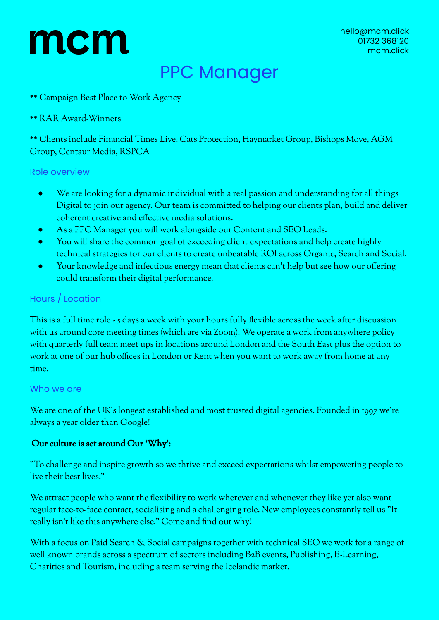# mcm

### PPC Manager

#### \*\* Campaign Best Place to Work Agency

#### \*\* RAR Award-Winners

\*\* Clients include Financial Times Live, Cats Protection, Haymarket Group, Bishops Move, AGM Group, Centaur Media, RSPCA

#### Role overview

- We are looking for a dynamic individual with a real passion and understanding for all things Digital to join our agency. Our team is committed to helping our clients plan, build and deliver coherent creative and effective media solutions.
- As a PPC Manager you will work alongside our Content and SEO Leads.
- You will share the common goal of exceeding client expectations and help create highly technical strategies for our clients to create unbeatable ROI across Organic, Search and Social.
- Your knowledge and infectious energy mean that clients can't help but see how our offering could transform their digital performance.

#### Hours / Location

This is a full time role - 5 days a week with your hours fully flexible across the week after discussion with us around core meeting times (which are via Zoom). We operate a work from anywhere policy with quarterly full team meet ups in locations around London and the South East plus the option to work at one of our hub offices in London or Kent when you want to work away from home at any time.

#### Who we are

We are one of the UK's longest established and most trusted digital agencies. Founded in 1997 we're always a year older than Google!

#### Our culture is set around Our 'Why':

"To challenge and inspire growth so we thrive and exceed expectations whilst empowering people to live their best lives."

We attract people who want the flexibility to work wherever and whenever they like yet also want regular face-to-face contact, socialising and a challenging role. New employees constantly tell us "It really isn't like this anywhere else." Come and find out why!

With a focus on Paid Search & Social campaigns together with technical SEO we work for a range of well known brands across a spectrum of sectors including B2B events, Publishing, E-Learning, Charities and Tourism, including a team serving the Icelandic market.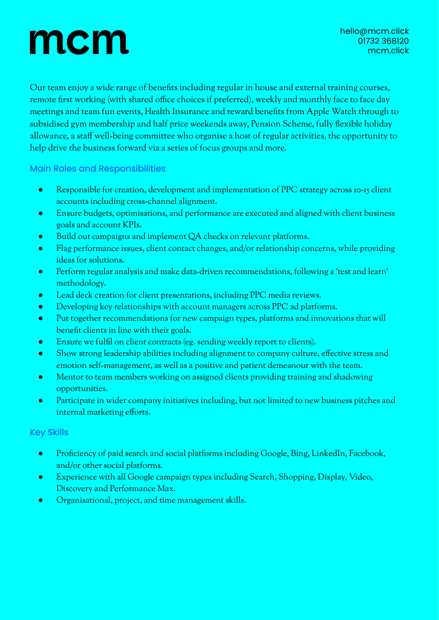## mcm

Our team enjoy a wide range of benefits including regular in house and external training courses, remote first working (with shared office choices if preferred), weekly and monthly face to face day meetings and team fun events, Health Insurance and reward benefits from Apple Watch through to subsidised gym membership and half price weekends away, Pension Scheme, fully flexible holiday allowance, a staff well-being committee who organise a host of regular activities, the opportunity to help drive the business forward via a series of focus groups and more.

#### Main Roles and Responsibilities

- Responsible for creation, development and implementation of PPC strategy across 10-15 client accounts including cross-channel alignment.
- Ensure budgets, optimisations, and performance are executed and aligned with client business goals and account KPIs.
- Build out campaigns and implement QA checks on relevant platforms.
- Flag performance issues, client contact changes, and/or relationship concerns, while providing ideas for solutions.
- Perform regular analysis and make data-driven recommendations, following a 'test and learn' methodology.
- Lead deck creation for client presentations, including PPC media reviews.
- Developing key relationships with account managers across PPC ad platforms.
- Put together recommendations for new campaign types, platforms and innovations that will benefit clients in line with their goals.
- Ensure we fulfil on client contracts (eg. sending weekly report to clients).
- Show strong leadership abilities including alignment to company culture, effective stress and emotion self-management, as well as a positive and patient demeanour with the team.
- Mentor to team members working on assigned clients providing training and shadowing opportunities.
- Participate in wider company initiatives including, but not limited to new business pitches and internal marketing efforts.

#### Key Skills

- Proficiency of paid search and social platforms including Google, Bing, LinkedIn, Facebook, and/or other social platforms.
- Experience with all Google campaign types including Search, Shopping, Display, Video, Discovery and Performance Max.
- Organisational, project, and time management skills.